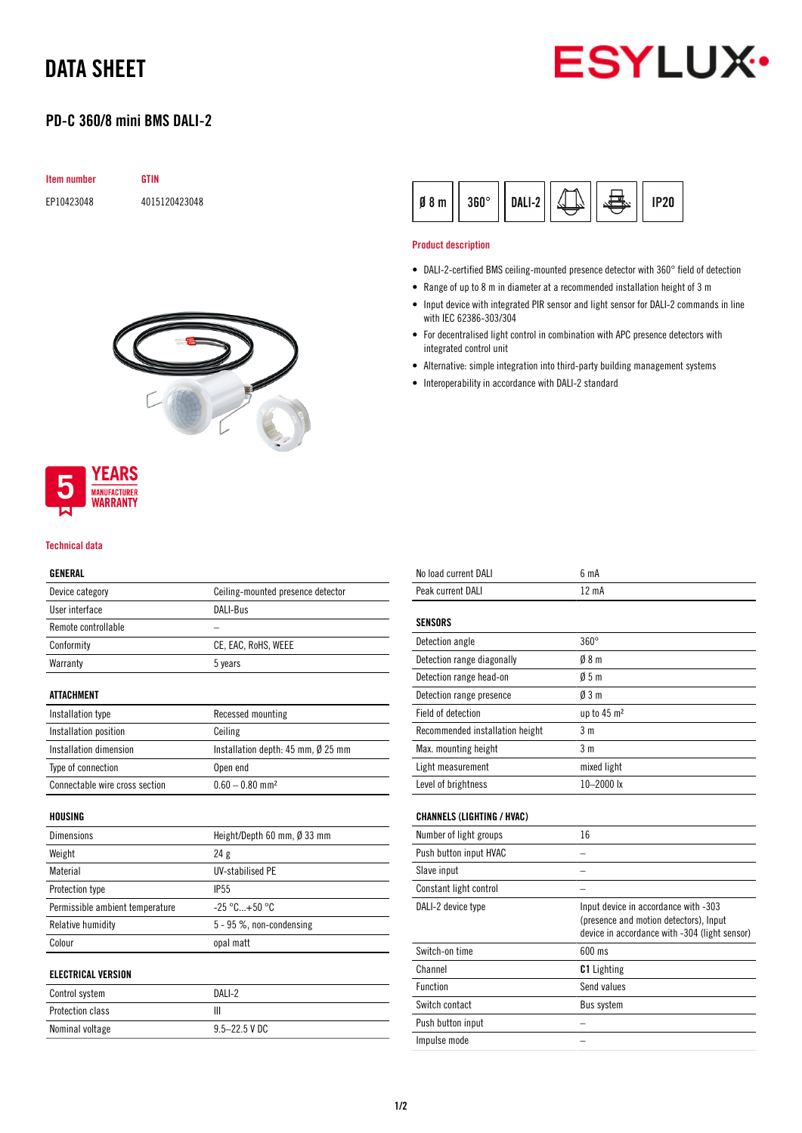# DATA SHEET



## PD-C 360/8 mini BMS DALI-2

| <b>Item number</b> | <b>GTIN</b>   |
|--------------------|---------------|
| EP10423048         | 4015120423048 |



### **YEARS MANUFACTURER** WARRANTY

#### Technical data

### GENERAL

| Device category                | Ceiling-mounted presence detector              |
|--------------------------------|------------------------------------------------|
| User interface                 | DALI-Bus                                       |
| Remote controllable            |                                                |
| Conformity                     | CE, EAC, RoHS, WEEE                            |
| Warranty                       | 5 years                                        |
| ATTACHMENT                     |                                                |
| Installation type              | Recessed mounting                              |
| Installation position          | Ceiling                                        |
| Installation dimension         | Installation depth: $45$ mm, $\emptyset$ 25 mm |
| Type of connection             | Open end                                       |
| Connectable wire cross section | $0.60 - 0.80$ mm <sup>2</sup>                  |
|                                |                                                |

| <b>Dimensions</b>               | Height/Depth 60 mm, Ø 33 mm |
|---------------------------------|-----------------------------|
| Weight                          | 24g                         |
| Material                        | <b>UV-stabilised PE</b>     |
| Protection type                 | <b>IP55</b>                 |
| Permissible ambient temperature | $-25 °C+50 °C$              |
| Relative humidity               | 5 - 95 %, non-condensing    |
| Colour                          | opal matt                   |
| ELECTRICAL VERSION              |                             |
|                                 |                             |

# Control system DALI-2

| Protection class |                   |
|------------------|-------------------|
| Nominal voltage  | $9.5 - 22.5$ V DC |

| $360^\circ$<br>Ø<br>8 m | DALI-2 |  | P20 |
|-------------------------|--------|--|-----|
|-------------------------|--------|--|-----|

#### Product description

l.

- DALI-2-certified BMS ceiling-mounted presence detector with 360° field of detection
- Range of up to 8 m in diameter at a recommended installation height of 3 m
- Input device with integrated PIR sensor and light sensor for DALI-2 commands in line with IEC 62386-303/304
- For decentralised light control in combination with APC presence detectors with integrated control unit
- Alternative: simple integration into third-party building management systems
- Interoperability in accordance with DALI-2 standard

| No load current DALI              | 6 mA                                                                                                                            |
|-----------------------------------|---------------------------------------------------------------------------------------------------------------------------------|
| Peak current DALI                 | 12 mA                                                                                                                           |
| <b>SENSORS</b>                    |                                                                                                                                 |
| Detection angle                   | $360^\circ$                                                                                                                     |
| Detection range diagonally        | 08 <sub>m</sub>                                                                                                                 |
| Detection range head-on           | 05m                                                                                                                             |
| Detection range presence          | 03m                                                                                                                             |
| Field of detection                | up to 45 m <sup>2</sup>                                                                                                         |
| Recommended installation height   | 3 <sub>m</sub>                                                                                                                  |
| Max. mounting height              | 3 <sub>m</sub>                                                                                                                  |
| Light measurement                 | mixed light                                                                                                                     |
| Level of brightness               | $10 - 2000$ lx                                                                                                                  |
| <b>CHANNELS (LIGHTING / HVAC)</b> |                                                                                                                                 |
| Number of light groups            | 16                                                                                                                              |
| Push button input HVAC            |                                                                                                                                 |
| Slave input                       |                                                                                                                                 |
| Constant light control            |                                                                                                                                 |
| DALI-2 device type                | Input device in accordance with -303<br>(presence and motion detectors), Input<br>device in accordance with -304 (light sensor) |
| Switch-on time                    | 600 ms                                                                                                                          |
| Channel                           | <b>C1</b> Lighting                                                                                                              |
| Function                          | Send values                                                                                                                     |
| Switch contact                    | <b>Bus system</b>                                                                                                               |
| Push button input                 |                                                                                                                                 |
| Impulse mode                      |                                                                                                                                 |
|                                   |                                                                                                                                 |